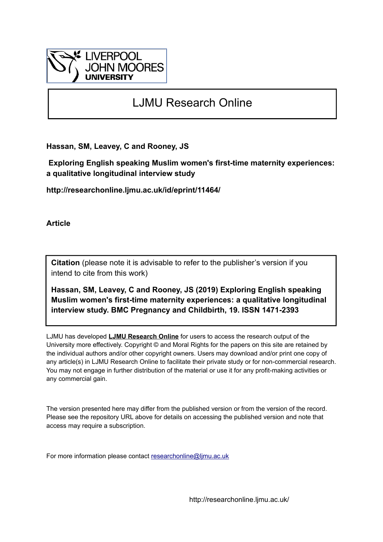

# LJMU Research Online

**Hassan, SM, Leavey, C and Rooney, JS**

 **Exploring English speaking Muslim women's first-time maternity experiences: a qualitative longitudinal interview study**

**http://researchonline.ljmu.ac.uk/id/eprint/11464/**

**Article**

**Citation** (please note it is advisable to refer to the publisher's version if you intend to cite from this work)

**Hassan, SM, Leavey, C and Rooney, JS (2019) Exploring English speaking Muslim women's first-time maternity experiences: a qualitative longitudinal interview study. BMC Pregnancy and Childbirth, 19. ISSN 1471-2393** 

LJMU has developed **[LJMU Research Online](http://researchonline.ljmu.ac.uk/)** for users to access the research output of the University more effectively. Copyright © and Moral Rights for the papers on this site are retained by the individual authors and/or other copyright owners. Users may download and/or print one copy of any article(s) in LJMU Research Online to facilitate their private study or for non-commercial research. You may not engage in further distribution of the material or use it for any profit-making activities or any commercial gain.

The version presented here may differ from the published version or from the version of the record. Please see the repository URL above for details on accessing the published version and note that access may require a subscription.

For more information please contact [researchonline@ljmu.ac.uk](mailto:researchonline@ljmu.ac.uk)

http://researchonline.ljmu.ac.uk/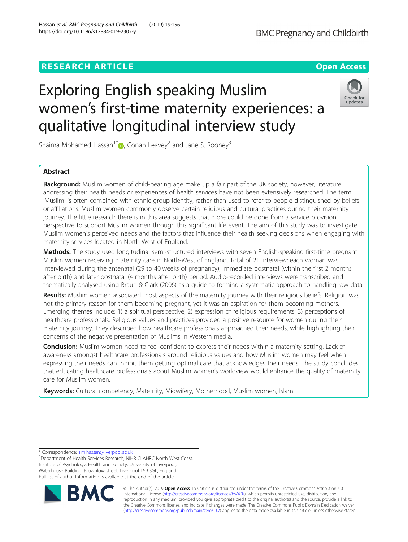## **RESEARCH ARTICLE Example 2018 12:30 THE Open Access**

# Exploring English speaking Muslim women's first-time maternity experiences: a qualitative longitudinal interview study



Shaima Mohamed Hassan<sup>1</sup><sup>[\\*](http://orcid.org/0000-0001-7840-3342)</sup> $\bullet$ , Conan Leavey<sup>2</sup> and Jane S. Rooney<sup>3</sup>

### Abstract

Background: Muslim women of child-bearing age make up a fair part of the UK society, however, literature addressing their health needs or experiences of health services have not been extensively researched. The term 'Muslim' is often combined with ethnic group identity, rather than used to refer to people distinguished by beliefs or affiliations. Muslim women commonly observe certain religious and cultural practices during their maternity journey. The little research there is in this area suggests that more could be done from a service provision perspective to support Muslim women through this significant life event. The aim of this study was to investigate Muslim women's perceived needs and the factors that influence their health seeking decisions when engaging with maternity services located in North-West of England.

Methods: The study used longitudinal semi-structured interviews with seven English-speaking first-time pregnant Muslim women receiving maternity care in North-West of England. Total of 21 interview; each woman was interviewed during the antenatal (29 to 40 weeks of pregnancy), immediate postnatal (within the first 2 months after birth) and later postnatal (4 months after birth) period. Audio-recorded interviews were transcribed and thematically analysed using Braun & Clark (2006) as a guide to forming a systematic approach to handling raw data.

Results: Muslim women associated most aspects of the maternity journey with their religious beliefs. Religion was not the primary reason for them becoming pregnant, yet it was an aspiration for them becoming mothers. Emerging themes include: 1) a spiritual perspective; 2) expression of religious requirements; 3) perceptions of healthcare professionals. Religious values and practices provided a positive resource for women during their maternity journey. They described how healthcare professionals approached their needs, while highlighting their concerns of the negative presentation of Muslims in Western media.

**Conclusion:** Muslim women need to feel confident to express their needs within a maternity setting. Lack of awareness amongst healthcare professionals around religious values and how Muslim women may feel when expressing their needs can inhibit them getting optimal care that acknowledges their needs. The study concludes that educating healthcare professionals about Muslim women's worldview would enhance the quality of maternity care for Muslim women.

Keywords: Cultural competency, Maternity, Midwifery, Motherhood, Muslim women, Islam

\* Correspondence: [s.m.hassan@liverpool.ac.uk](mailto:s.m.hassan@liverpool.ac.uk) <sup>1</sup>

<sup>&</sup>lt;sup>1</sup>Department of Health Services Research, NIHR CLAHRC North West Coast. Institute of Psychology, Health and Society, University of Liverpool, Waterhouse Building, Brownlow street, Liverpool L69 3GL, England Full list of author information is available at the end of the article



© The Author(s). 2019 **Open Access** This article is distributed under the terms of the Creative Commons Attribution 4.0 International License [\(http://creativecommons.org/licenses/by/4.0/](http://creativecommons.org/licenses/by/4.0/)), which permits unrestricted use, distribution, and reproduction in any medium, provided you give appropriate credit to the original author(s) and the source, provide a link to the Creative Commons license, and indicate if changes were made. The Creative Commons Public Domain Dedication waiver [\(http://creativecommons.org/publicdomain/zero/1.0/](http://creativecommons.org/publicdomain/zero/1.0/)) applies to the data made available in this article, unless otherwise stated.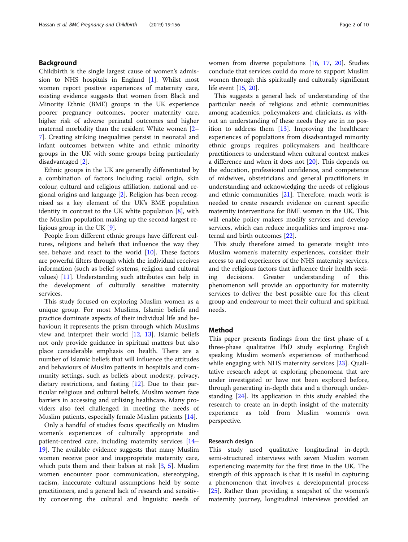#### Background

Childbirth is the single largest cause of women's admission to NHS hospitals in England [\[1](#page-9-0)]. Whilst most women report positive experiences of maternity care, existing evidence suggests that women from Black and Minority Ethnic (BME) groups in the UK experience poorer pregnancy outcomes, poorer maternity care, higher risk of adverse perinatal outcomes and higher maternal morbidity than the resident White women [[2](#page-9-0)– [7\]](#page-9-0). Creating striking inequalities persist in neonatal and infant outcomes between white and ethnic minority groups in the UK with some groups being particularly disadvantaged [\[2](#page-9-0)].

Ethnic groups in the UK are generally differentiated by a combination of factors including racial origin, skin colour, cultural and religious affiliation, national and regional origins and language [[2\]](#page-9-0). Religion has been recognised as a key element of the UK's BME population identity in contrast to the UK white population  $[8]$  $[8]$ , with the Muslim population making up the second largest religious group in the UK [[9\]](#page-9-0).

People from different ethnic groups have different cultures, religions and beliefs that influence the way they see, behave and react to the world [\[10](#page-9-0)]. These factors are powerful filters through which the individual receives information (such as belief systems, religion and cultural values) [\[11](#page-9-0)]. Understanding such attributes can help in the development of culturally sensitive maternity services.

This study focused on exploring Muslim women as a unique group. For most Muslims, Islamic beliefs and practice dominate aspects of their individual life and behaviour; it represents the prism through which Muslims view and interpret their world [[12](#page-9-0), [13](#page-9-0)]. Islamic beliefs not only provide guidance in spiritual matters but also place considerable emphasis on health. There are a number of Islamic beliefs that will influence the attitudes and behaviours of Muslim patients in hospitals and community settings, such as beliefs about modesty, privacy, dietary restrictions, and fasting [\[12\]](#page-9-0). Due to their particular religious and cultural beliefs, Muslim women face barriers in accessing and utilising healthcare. Many providers also feel challenged in meeting the needs of Muslim patients, especially female Muslim patients [[14\]](#page-9-0).

Only a handful of studies focus specifically on Muslim women's experiences of culturally appropriate and patient-centred care, including maternity services [[14](#page-9-0)– [19\]](#page-9-0). The available evidence suggests that many Muslim women receive poor and inappropriate maternity care, which puts them and their babies at risk [\[3](#page-9-0), [5](#page-9-0)]. Muslim women encounter poor communication, stereotyping, racism, inaccurate cultural assumptions held by some practitioners, and a general lack of research and sensitivity concerning the cultural and linguistic needs of women from diverse populations [[16](#page-9-0), [17,](#page-9-0) [20\]](#page-9-0). Studies conclude that services could do more to support Muslim women through this spiritually and culturally significant life event [\[15,](#page-9-0) [20\]](#page-9-0).

This suggests a general lack of understanding of the particular needs of religious and ethnic communities among academics, policymakers and clinicians, as without an understanding of these needs they are in no position to address them [\[13\]](#page-9-0). Improving the healthcare experiences of populations from disadvantaged minority ethnic groups requires policymakers and healthcare practitioners to understand when cultural context makes a difference and when it does not  $[20]$ . This depends on the education, professional confidence, and competence of midwives, obstetricians and general practitioners in understanding and acknowledging the needs of religious and ethnic communities [[21\]](#page-9-0). Therefore, much work is needed to create research evidence on current specific maternity interventions for BME women in the UK. This will enable policy makers modify services and develop services, which can reduce inequalities and improve maternal and birth outcomes [[22](#page-9-0)].

This study therefore aimed to generate insight into Muslim women's maternity experiences, consider their access to and experiences of the NHS maternity services, and the religious factors that influence their health seeking decisions. Greater understanding of this phenomenon will provide an opportunity for maternity services to deliver the best possible care for this client group and endeavour to meet their cultural and spiritual needs.

#### Method

This paper presents findings from the first phase of a three-phase qualitative PhD study exploring English speaking Muslim women's experiences of motherhood while engaging with NHS maternity services [\[23](#page-9-0)]. Qualitative research adept at exploring phenomena that are under investigated or have not been explored before, through generating in-depth data and a thorough understanding [\[24\]](#page-9-0). Its application in this study enabled the research to create an in-depth insight of the maternity experience as told from Muslim women's own perspective.

#### Research design

This study used qualitative longitudinal in-depth semi-structured interviews with seven Muslim women experiencing maternity for the first time in the UK. The strength of this approach is that it is useful in capturing a phenomenon that involves a developmental process [[25\]](#page-9-0). Rather than providing a snapshot of the women's maternity journey, longitudinal interviews provided an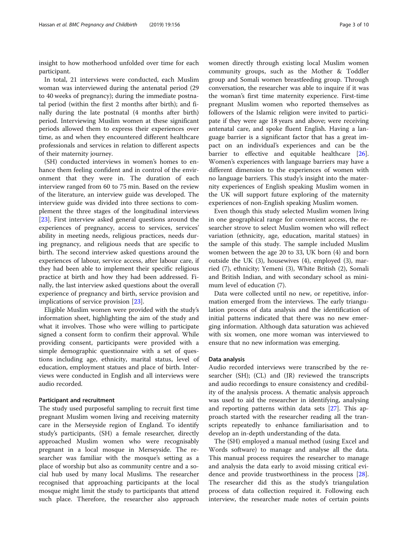insight to how motherhood unfolded over time for each participant.

In total, 21 interviews were conducted, each Muslim woman was interviewed during the antenatal period (29 to 40 weeks of pregnancy); during the immediate postnatal period (within the first 2 months after birth); and finally during the late postnatal (4 months after birth) period. Interviewing Muslim women at these significant periods allowed them to express their experiences over time, as and when they encountered different healthcare professionals and services in relation to different aspects of their maternity journey.

(SH) conducted interviews in women's homes to enhance them feeling confident and in control of the environment that they were in. The duration of each interview ranged from 60 to 75 min. Based on the review of the literature, an interview guide was developed. The interview guide was divided into three sections to complement the three stages of the longitudinal interviews [[23\]](#page-9-0). First interview asked general questions around the experiences of pregnancy, access to services, services' ability in meeting needs, religious practices, needs during pregnancy, and religious needs that are specific to birth. The second interview asked questions around the experiences of labour, service access, after labour care, if they had been able to implement their specific religious practice at birth and how they had been addressed. Finally, the last interview asked questions about the overall experience of pregnancy and birth, service provision and implications of service provision [\[23](#page-9-0)].

Eligible Muslim women were provided with the study's information sheet, highlighting the aim of the study and what it involves. Those who were willing to participate signed a consent form to confirm their approval. While providing consent, participants were provided with a simple demographic questionnaire with a set of questions including age, ethnicity, marital status, level of education, employment statues and place of birth. Interviews were conducted in English and all interviews were audio recorded.

#### Participant and recruitment

The study used purposeful sampling to recruit first time pregnant Muslim women living and receiving maternity care in the Merseyside region of England. To identify study's participants, (SH) a female researcher, directly approached Muslim women who were recognisably pregnant in a local mosque in Merseyside. The researcher was familiar with the mosque's setting as a place of worship but also as community centre and a social hub used by many local Muslims. The researcher recognised that approaching participants at the local mosque might limit the study to participants that attend such place. Therefore, the researcher also approach women directly through existing local Muslim women community groups, such as the Mother & Toddler group and Somali women breastfeeding group. Through conversation, the researcher was able to inquire if it was the woman's first time maternity experience. First-time pregnant Muslim women who reported themselves as followers of the Islamic religion were invited to participate if they were age 18 years and above; were receiving antenatal care, and spoke fluent English. Having a language barrier is a significant factor that has a great impact on an individual's experiences and can be the barrier to effective and equitable healthcare [\[26](#page-9-0)]. Women's experiences with language barriers may have a different dimension to the experiences of women with no language barriers. This study's insight into the maternity experiences of English speaking Muslim women in the UK will support future exploring of the maternity experiences of non-English speaking Muslim women.

Even though this study selected Muslim women living in one geographical range for convenient access, the researcher strove to select Muslim women who will reflect variation (ethnicity, age, education, marital statues) in the sample of this study. The sample included Muslim women between the age 20 to 33, UK born (4) and born outside the UK (3), housewives (4), employed (3), married (7), ethnicity; Yemeni (3), White British (2), Somali and British Indian, and with secondary school as minimum level of education (7).

Data were collected until no new, or repetitive, information emerged from the interviews. The early triangulation process of data analysis and the identification of initial patterns indicated that there was no new emerging information. Although data saturation was achieved with six women, one more woman was interviewed to ensure that no new information was emerging.

#### Data analysis

Audio recorded interviews were transcribed by the researcher (SH); (CL) and (JR) reviewed the transcripts and audio recordings to ensure consistency and credibility of the analysis process. A thematic analysis approach was used to aid the researcher in identifying, analysing and reporting patterns within data sets [\[27](#page-10-0)]. This approach started with the researcher reading all the transcripts repeatedly to enhance familiarisation and to develop an in-depth understanding of the data.

The (SH) employed a manual method (using Excel and Words software) to manage and analyse all the data. This manual process requires the researcher to manage and analysis the data early to avoid missing critical evidence and provide trustworthiness in the process [\[28](#page-10-0)]. The researcher did this as the study's triangulation process of data collection required it. Following each interview, the researcher made notes of certain points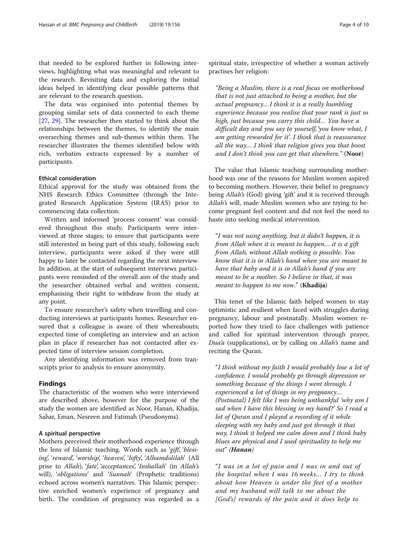that needed to be explored further in following interviews, highlighting what was meaningful and relevant to the research. Revisiting data and exploring the initial ideas helped in identifying clear possible patterns that are relevant to the research question.

The data was organised into potential themes by grouping similar sets of data connected to each theme [[27,](#page-10-0) [29](#page-10-0)]. The researcher then started to think about the relationships between the themes, to identify the main overarching themes and sub-themes within them. The researcher illustrates the themes identified below with rich, verbatim extracts expressed by a number of participants.

#### Ethical consideration

Ethical approval for the study was obtained from the NHS Research Ethics Committee (through the Integrated Research Application System (IRAS) prior to commencing data collection.

Written and informed 'process consent' was considered throughout this study. Participants were interviewed at three stages; to ensure that participants were still interested in being part of this study, following each interview, participants were asked if they were still happy to later be contacted regarding the next interview. In addition, at the start of subsequent interviews participants were reminded of the overall aim of the study and the researcher obtained verbal and written consent, emphasising their right to withdraw from the study at any point.

To ensure researcher's safety when travelling and conducting interviews at participants homes. Researcher ensured that a colleague is aware of their whereabouts; expected time of completing an interview and an action plan in place if researcher has not contacted after expected time of interview session completion.

Any identifying information was removed from transcripts prior to analysis to ensure anonymity.

#### Findings

The characteristic of the women who were interviewed are described above, however for the purpose of the study the women are identified as Noor, Hanan, Khadija, Sahar, Eman, Nesreen and Fatimah (Pseudonyms).

#### A spiritual perspective

Mothers perceived their motherhood experience through the lens of Islamic teaching. Words such as 'gift', 'blessing', 'reward', 'worship', 'heaven', 'lofty', 'Alhamdolilah' (All prise to Allah), 'fate', 'acceptances', 'Inshallah' (in Allah's will), '*obligations'* and 'Sunnah' (Prophetic traditions) echoed across women's narratives. This Islamic perspective enriched women's experience of pregnancy and birth. The condition of pregnancy was regarded as a spiritual state, irrespective of whether a woman actively practises her religion:

"Being a Muslim, there is a real focus on motherhood that is not just attached to being a mother, but the actual pregnancy... I think it is a really humbling experience because you realise that your rank is just so high, just because you carry this child… You have a difficult day and you say to yourself, 'you know what, I am getting rewarded for it'. I think that is reassurance all the way… I think that religion gives you that boost and I don't think you can get that elsewhere." (Noor)

The value that Islamic teaching surrounding motherhood was one of the reasons for Muslim women aspired to becoming mothers. However, their belief in pregnancy being *Allah's* (God) giving 'gift' and it is received through Allah's will, made Muslim women who are trying to become pregnant feel content and did not feel the need to haste into seeking medical intervention.

"I was not using anything, but it didn't happen, it is from Allah when it is meant to happen… it is a gift from Allah, without Allah nothing is possible. You know that it is in Allah's hand when you are meant to have that baby and it is in Allah's hand if you are meant to be a mother. So I believe in that, it was meant to happen to me now." (Khadija)

This tenet of the Islamic faith helped women to stay optimistic and resilient when faced with struggles during pregnancy, labour and postnatally. Muslim women reported how they tried to face challenges with patience and called for spiritual intervention through prayer, Dua'a (supplications), or by calling on Allah's name and reciting the Quran.

"I think without my faith I would probably lose a lot of confidence. I would probably go through depression or something because of the things I went through. I experienced a lot of things in my pregnancy… (Postnatal) I felt like I was being unthankful 'why am I sad when I have this blessing in my hand?' So I read a lot of Quran and I played a recording of it while sleeping with my baby and just got through it that way, I think it helped me calm down and I think baby blues are physical and I used spirituality to help me out" (Hanan)

"I was in a lot of pain and I was in and out of the hospital when I was 16 weeks… I try to think about how Heaven is under the feet of a mother and my husband will talk to me about the [God's} rewards of the pain and it does help to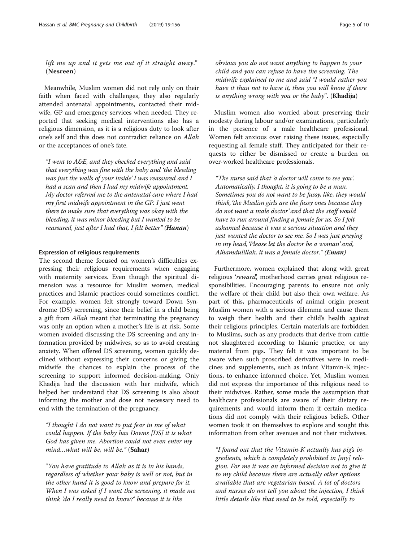#### lift me up and it gets me out of it straight away." (Nesreen)

Meanwhile, Muslim women did not rely only on their faith when faced with challenges, they also regularly attended antenatal appointments, contacted their midwife, GP and emergency services when needed. They reported that seeking medical interventions also has a religious dimension, as it is a religious duty to look after one's self and this does not contradict reliance on Allah or the acceptances of one's fate.

"I went to A&E, and they checked everything and said that everything was fine with the baby and 'the bleeding was just the walls of your inside' I was reassured and I had a scan and then I had my midwife appointment. My doctor referred me to the antenatal care where I had my first midwife appointment in the GP. I just went there to make sure that everything was okay with the bleeding, it was minor bleeding but I wanted to be reassured, just after I had that, I felt better" (Hanan)

#### Expression of religious requirements

The second theme focused on women's difficulties expressing their religious requirements when engaging with maternity services. Even though the spiritual dimension was a resource for Muslim women, medical practices and Islamic practices could sometimes conflict. For example, women felt strongly toward Down Syndrome (DS) screening, since their belief in a child being a gift from *Allah* meant that terminating the pregnancy was only an option when a mother's life is at risk. Some women avoided discussing the DS screening and any information provided by midwives, so as to avoid creating anxiety. When offered DS screening, women quickly declined without expressing their concerns or giving the midwife the chances to explain the process of the screening to support informed decision-making. Only Khadija had the discussion with her midwife, which helped her understand that DS screening is also about informing the mother and dose not necessary need to end with the termination of the pregnancy.

"I thought I do not want to put fear in me of what could happen. If the baby has Downs [DS] it is what God has given me. Abortion could not even enter my mind...what will be, will be." (Sahar)

"You have gratitude to Allah as it is in his hands, regardless of whether your baby is well or not, but in the other hand it is good to know and prepare for it. When I was asked if I want the screening, it made me think 'do I really need to know?' because it is like

obvious you do not want anything to happen to your child and you can refuse to have the screening. The midwife explained to me and said "I would rather you have it than not to have it, then you will know if there is anything wrong with you or the baby". (Khadija)

Muslim women also worried about preserving their modesty during labour and/or examinations, particularly in the presence of a male healthcare professional. Women felt anxious over raising these issues, especially requesting all female staff. They anticipated for their requests to either be dismissed or create a burden on over-worked healthcare professionals.

"The nurse said that 'a doctor will come to see you'. Automatically, I thought, it is going to be a man. Sometimes you do not want to be fussy, like, they would think,'the Muslim girls are the fussy ones because they do not want a male doctor' and that the staff would have to run around finding a female for us. So I felt ashamed because it was a serious situation and they just wanted the doctor to see me. So I was just praying in my head,'Please let the doctor be a woman' and, Alhamdulillah, it was a female doctor." (Eman)

Furthermore, women explained that along with great religious 'reward', motherhood carries great religious responsibilities. Encouraging parents to ensure not only the welfare of their child but also their own welfare. As part of this, pharmaceuticals of animal origin present Muslim women with a serious dilemma and cause them to weigh their health and their child's health against their religious principles. Certain materials are forbidden to Muslims, such as any products that derive from cattle not slaughtered according to Islamic practice, or any material from pigs. They felt it was important to be aware when such proscribed derivatives were in medicines and supplements, such as infant Vitamin-K injections, to enhance informed choice. Yet, Muslim women did not express the importance of this religious need to their midwives. Rather, some made the assumption that healthcare professionals are aware of their dietary requirements and would inform them if certain medications did not comply with their religious beliefs. Other women took it on themselves to explore and sought this information from other avenues and not their midwives.

"I found out that the Vitamin-K actually has pig's ingredients, which is completely prohibited in [my] religion. For me it was an informed decision not to give it to my child because there are actually other options available that are vegetarian based. A lot of doctors and nurses do not tell you about the injection, I think little details like that need to be told, especially to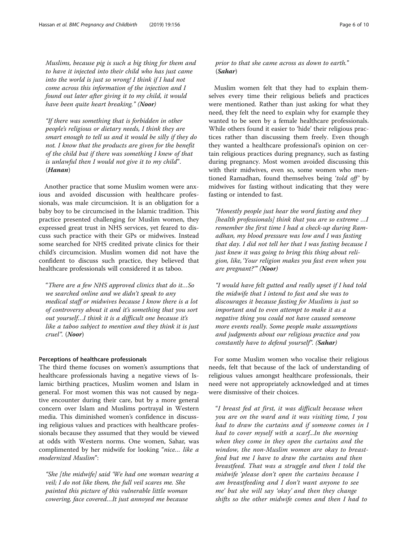Muslims, because pig is such a big thing for them and to have it injected into their child who has just came into the world is just so wrong! I think if I had not come across this information of the injection and I found out later after giving it to my child, it would have been quite heart breaking." (Noor)

"If there was something that is forbidden in other people's religious or dietary needs, I think they are smart enough to tell us and it would be silly if they do not. I know that the products are given for the benefit of the child but if there was something I knew of that is unlawful then I would not give it to my child". (Hanan)

Another practice that some Muslim women were anxious and avoided discussion with healthcare professionals, was male circumcision. It is an obligation for a baby boy to be circumcised in the Islamic tradition. This practice presented challenging for Muslim women, they expressed great trust in NHS services, yet feared to discuss such practice with their GPs or midwives. Instead some searched for NHS credited private clinics for their child's circumcision. Muslim women did not have the confident to discuss such practice, they believed that healthcare professionals will considered it as taboo.

"There are a few NHS approved clinics that do it…So we searched online and we didn't speak to any medical staff or midwives because I know there is a lot of controversy about it and it's something that you sort out yourself…I think it is a difficult one because it's like a taboo subject to mention and they think it is just cruel". (Noor)

#### Perceptions of healthcare professionals

The third theme focuses on women's assumptions that healthcare professionals having a negative views of Islamic birthing practices, Muslim women and Islam in general. For most women this was not caused by negative encounter during their care, but by a more general concern over Islam and Muslims portrayal in Western media. This diminished women's confidence in discussing religious values and practices with healthcare professionals because they assumed that they would be viewed at odds with Western norms. One women, Sahar, was complimented by her midwife for looking "nice… like a modernized Muslim":

"She [the midwife] said 'We had one woman wearing a veil; I do not like them, the full veil scares me. She painted this picture of this vulnerable little woman cowering, face covered…It just annoyed me because

#### prior to that she came across as down to earth." (Sahar)

Muslim women felt that they had to explain themselves every time their religious beliefs and practices were mentioned. Rather than just asking for what they need, they felt the need to explain why for example they wanted to be seen by a female healthcare professionals. While others found it easier to 'hide' their religious practices rather than discussing them freely. Even though they wanted a healthcare professional's opinion on certain religious practices during pregnancy, such as fasting during pregnancy. Most women avoided discussing this with their midwives, even so, some women who mentioned Ramadhan, found themselves being 'told off' by midwives for fasting without indicating that they were fasting or intended to fast.

"Honestly people just hear the word fasting and they  $[health$  professionals $]$  think that you are so extreme ... I remember the first time I had a check-up during Ramadhan, my blood pressure was low and I was fasting that day. I did not tell her that I was fasting because I just knew it was going to bring this thing about religion, like, 'Your religion makes you fast even when you are pregnant?'" (Noor)

"I would have felt gutted and really upset if I had told the midwife that I intend to fast and she was to discourages it because fasting for Muslims is just so important and to even attempt to make it as a negative thing you could not have caused someone more events really. Some people make assumptions and judgments about our religious practice and you constantly have to defend yourself". (Sahar)

For some Muslim women who vocalise their religious needs, felt that because of the lack of understanding of religious values amongst healthcare professionals, their need were not appropriately acknowledged and at times were dismissive of their choices.

"I breast fed at first, it was difficult because when you are on the ward and it was visiting time, I you had to draw the curtains and if someone comes in I had to cover myself with a scarf...In the morning when they come in they open the curtains and the window, the non-Muslim women are okay to breastfeed but me I have to draw the curtains and then breastfeed. That was a struggle and then I told the midwife 'please don't open the curtains because I am breastfeeding and I don't want anyone to see me' but she will say 'okay' and then they change shifts so the other midwife comes and then I had to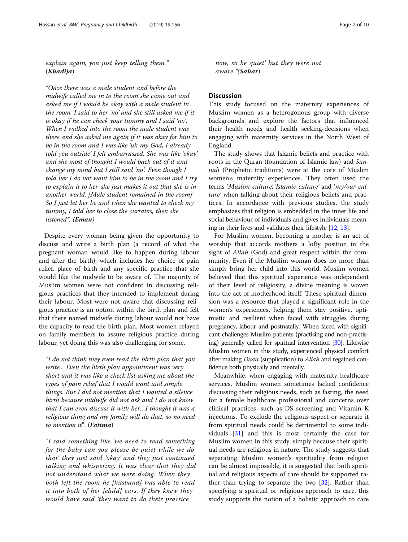#### explain again, you just keep telling them." (Khadija)

"Once there was a male student and before the midwife called me in to the room she came out and asked me if I would be okay with a male student in the room. I said to her 'no' and she still asked me if it is okay if he can check your tummy and I said 'no'. When I walked into the room the male student was there and she asked me again if it was okay for him to be in the room and I was like 'uh my God, I already told you outside' I felt embarrassed. She was like 'okay' and she most of thought I would back out of it and change my mind but I still said 'no'. Even though I told her I do not want him to be in the room and I try to explain it to her, she just makes it out that she is in another world. [Male student remained in the room] So I just let her be and when she wanted to check my tummy, I told her to close the curtains, then she listened". (Eman)

Despite every woman being given the opportunity to discuss and write a birth plan (a record of what the pregnant woman would like to happen during labour and after the birth), which includes her choice of pain relief, place of birth and any specific practice that she would like the midwife to be aware of. The majority of Muslim women were not confident in discussing religious practices that they intended to implement during their labour. Most were not aware that discussing religious practice is an option within the birth plan and felt that there named midwife during labour would not have the capacity to read the birth plan. Most women relayed on family members to assure religious practice during labour, yet doing this was also challenging for some.

"I do not think they even read the birth plan that you write... Even the birth plan appointment was very short and it was like a check list asking me about the types of pain relief that I would want and simple things. But I did not mention that I wanted a silence birth because midwife did not ask and I do not know that I can even discuss it with her…I thought it was a religious thing and my family will do that, so no need to mention it". (Fatima)

"I said something like 'we need to read something for the baby can you please be quiet while we do that' they just said 'okay' and they just continued talking and whispering. It was clear that they did not understand what we were doing. When they both left the room he [husband] was able to read it into both of her [child] ears. If they knew they would have said 'they want to do their practice

now, so be quiet' but they were not aware."(Sahar)

#### **Discussion**

This study focused on the maternity experiences of Muslim women as a heterogonous group with diverse backgrounds and explore the factors that influenced their health needs and health seeking-decisions when engaging with maternity services in the North West of England.

The study shows that Islamic beliefs and practice with roots in the Quran (foundation of Islamic law) and Sunnah (Prophetic traditions) were at the core of Muslim women's maternity experiences. They often used the terms 'Muslim culture,' Islamic culture' and 'my/our culture' when talking about their religious beliefs and practices. In accordance with previous studies, the study emphasizes that religion is embedded in the inner life and social behaviour of individuals and gives individuals meaning in their lives and validates their lifestyle [[12](#page-9-0), [13\]](#page-9-0).

For Muslim women, becoming a mother is an act of worship that accords mothers a lofty position in the sight of *Allah* (God) and great respect within the community. Even if the Muslim woman does no more than simply bring her child into this world. Muslim women believed that this spiritual experience was independent of their level of religiosity, a divine meaning is woven into the act of motherhood itself. These spiritual dimension was a resource that played a significant role in the women's experiences, helping them stay positive, optimistic and resilient when faced with struggles during pregnancy, labour and postnatally. When faced with significant challenges Muslim patients (practising and non-practising) generally called for spiritual intervention [\[30](#page-10-0)]. Likewise Muslim women in this study, experienced physical comfort after making *Dua'a* (supplication) to *Allah* and regained confidence both physically and mentally.

Meanwhile, when engaging with maternity healthcare services, Muslim women sometimes lacked confidence discussing their religious needs, such as fasting, the need for a female healthcare professional and concerns over clinical practices, such as DS screening and Vitamin K injections. To exclude the religious aspect or separate it from spiritual needs could be detrimental to some individuals [\[31](#page-10-0)] and this is most certainly the case for Muslim women in this study, simply because their spiritual needs are religious in nature. The study suggests that separating Muslim women's spirituality from religion can be almost impossible, it is suggested that both spiritual and religious aspects of care should be supported rather than trying to separate the two [[32\]](#page-10-0). Rather than specifying a spiritual or religious approach to care, this study supports the notion of a holistic approach to care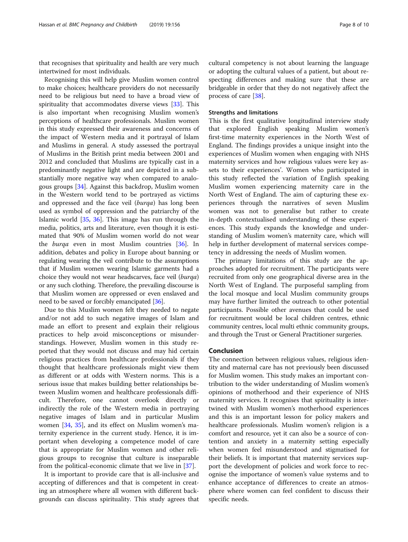that recognises that spirituality and health are very much intertwined for most individuals.

Recognising this will help give Muslim women control to make choices; healthcare providers do not necessarily need to be religious but need to have a broad view of spirituality that accommodates diverse views [[33\]](#page-10-0). This is also important when recognising Muslim women's perceptions of healthcare professionals. Muslim women in this study expressed their awareness and concerns of the impact of Western media and it portrayal of Islam and Muslims in general. A study assessed the portrayal of Muslims in the British print media between 2001 and 2012 and concluded that Muslims are typically cast in a predominantly negative light and are depicted in a substantially more negative way when compared to analogous groups [[34\]](#page-10-0). Against this backdrop, Muslim women in the Western world tend to be portrayed as victims and oppressed and the face veil (burqa) has long been used as symbol of oppression and the patriarchy of the Islamic world [\[35](#page-10-0), [36\]](#page-10-0). This image has run through the media, politics, arts and literature, even though it is estimated that 90% of Muslim women world do not wear the burqa even in most Muslim countries [\[36\]](#page-10-0). In addition, debates and policy in Europe about banning or regulating wearing the veil contribute to the assumptions that if Muslim women wearing Islamic garments had a choice they would not wear headscarves, face veil (burqa) or any such clothing. Therefore, the prevailing discourse is that Muslim women are oppressed or even enslaved and need to be saved or forcibly emancipated [[36\]](#page-10-0).

Due to this Muslim women felt they needed to negate and/or not add to such negative images of Islam and made an effort to present and explain their religious practices to help avoid misconceptions or misunderstandings. However, Muslim women in this study reported that they would not discuss and may hid certain religious practices from healthcare professionals if they thought that healthcare professionals might view them as different or at odds with Western norms. This is a serious issue that makes building better relationships between Muslim women and healthcare professionals difficult. Therefore, one cannot overlook directly or indirectly the role of the Western media in portraying negative images of Islam and in particular Muslim women [[34](#page-10-0), [35](#page-10-0)], and its effect on Muslim women's maternity experience in the current study. Hence, it is important when developing a competence model of care that is appropriate for Muslim women and other religious groups to recognise that culture is inseparable from the political-economic climate that we live in [[37\]](#page-10-0).

It is important to provide care that is all-inclusive and accepting of differences and that is competent in creating an atmosphere where all women with different backgrounds can discuss spirituality. This study agrees that

cultural competency is not about learning the language or adopting the cultural values of a patient, but about respecting differences and making sure that these are bridgeable in order that they do not negatively affect the process of care [[38\]](#page-10-0).

#### Strengths and limitations

This is the first qualitative longitudinal interview study that explored English speaking Muslim women's first-time maternity experiences in the North West of England. The findings provides a unique insight into the experiences of Muslim women when engaging with NHS maternity services and how religious values were key assets to their experiences'. Women who participated in this study reflected the variation of English speaking Muslim women experiencing maternity care in the North West of England. The aim of capturing these experiences through the narratives of seven Muslim women was not to generalise but rather to create in-depth contextualised understanding of these experiences. This study expands the knowledge and understanding of Muslim women's maternity care, which will help in further development of maternal services competency in addressing the needs of Muslim women.

The primary limitations of this study are the approaches adopted for recruitment. The participants were recruited from only one geographical diverse area in the North West of England. The purposeful sampling from the local mosque and local Muslim community groups may have further limited the outreach to other potential participants. Possible other avenues that could be used for recruitment would be local children centres, ethnic community centres, local multi ethnic community groups, and through the Trust or General Practitioner surgeries.

#### Conclusion

The connection between religious values, religious identity and maternal care has not previously been discussed for Muslim women. This study makes an important contribution to the wider understanding of Muslim women's opinions of motherhood and their experience of NHS maternity services. It recognises that spirituality is intertwined with Muslim women's motherhood experiences and this is an important lesson for policy makers and healthcare professionals. Muslim women's religion is a comfort and resource, yet it can also be a source of contention and anxiety in a maternity setting especially when women feel misunderstood and stigmatised for their beliefs. It is important that maternity services support the development of policies and work force to recognise the importance of women's value systems and to enhance acceptance of differences to create an atmosphere where women can feel confident to discuss their specific needs.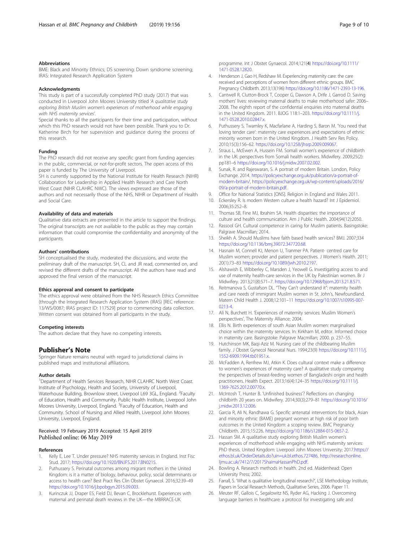#### <span id="page-9-0"></span>Abbreviations

BME: Black and Minority Ethnics; DS screening: Down syndrome screening; IRAS: Integrated Research Application System

#### **Acknowledaments**

This study is part of a successfully completed PhD study (2017) that was conducted in Liverpool John Moores University titled 'A qualitative study exploring British Muslim women's experiences of motherhood while engaging with NHS maternity services'.

Special thanks to all the participants for their time and participation, without which this PhD research would not have been possible. Thank you to Dr. Katherine Birch for her supervision and guidance during the process of this research.

#### Funding

The PhD research did not receive any specific grant from funding agencies in the public, commercial, or not-for-profit sectors. The open access of this paper is funded by The University of Liverpool.

SH is currently supported by the National Institute for Health Research (NIHR) Collaboration for Leadership in Applied Health Research and Care North West Coast (NIHR CLAHRC NWC). The views expressed are those of the authors and not necessarily those of the NHS, NIHR or Department of Health and Social Care.

#### Availability of data and materials

Qualitative data extracts are presented in the article to support the findings. The original transcripts are not available to the public as they may contain information that could compromise the confidentiality and anonymity of the participants.

#### Authors' contributions

SH conceptualised the study, moderated the discussions, and wrote the preliminary draft of the manuscript. SH, CL and JR read, commented on, and revised the different drafts of the manuscript. All the authors have read and approved the final version of the manuscript.

#### Ethics approval and consent to participate

The ethics approval were obtained from the NHS Research Ethics Committee (through the Integrated Research Application System (IRAS) [REC reference: 13/WS/0087; IRAS project ID: 117529] prior to commencing data collection. Written consent was obtained from all participants in the study.

#### Competing interests

The authors declare that they have no competing interests.

#### Publisher's Note

Springer Nature remains neutral with regard to jurisdictional claims in published maps and institutional affiliations.

#### Author details

<sup>1</sup>Department of Health Services Research, NIHR CLAHRC North West Coast. Institute of Psychology, Health and Society, University of Liverpool, Waterhouse Building, Brownlow street, Liverpool L69 3GL, England. <sup>2</sup>Faculty of Education, Health and Community. Public Health Institute, Liverpool John Moores University, Liverpool, England. <sup>3</sup> Faculty of Education, Health and Community. School of Nursing and Allied Health, Liverpool John Moores University, Liverpool, England.

#### Received: 19 February 2019 Accepted: 15 April 2019 Published online: 06 May 2019

#### References

- 1. Kelly E, Lee T. Under pressure? NHS maternity services in England. Inst Fisc Stud. 2017; <https://doi.org/10.1920/BN.IFS.2017.BN0215>.
- Puthussery S. Perinatal outcomes among migrant mothers in the United Kingdom: is it a matter of biology, behaviour, policy, social determinants or access to health care? Best Pract Res Clin Obstet Gynaecol. 2016;32:39–49 [https://doi.org/10.1016/j.bpobgyn.2015.09.003.](https://doi.org/10.1016/j.bpobgyn.2015.09.003)
- 3. Kurinczuk JJ, Draper ES, Field DJ, Bevan C, Brocklehurst. Experiences with maternal and perinatal death reviews in the UK—the MBRRACE-UK
- 4. Henderson J, Gao H, Redshaw M. Experiencing maternity care: the care received and perceptions of women from different ethnic groups. BMC Pregnancy Childbirth. 2013;13(196) <https://doi.org/10.1186/1471-2393-13-196>.
- 5. Cantwell R, Clutton-Brock T, Cooper G, Dawson A, Drife J, Garrod D. Saving mothers' lives: reviewing maternal deaths to make motherhood safer: 2006– 2008. The eighth report of the confidential enquiries into maternal deaths in the United Kingdom. 2011. BJOG 118:1–203. [https://doi.org/10.1111/j.](https://doi.org/10.1111/j.1471-0528.2010.02847.x) [1471-0528.2010.02847.x](https://doi.org/10.1111/j.1471-0528.2010.02847.x).
- Puthussery S, Twamley K, Macfarlane A, Harding S, Baron M. 'You need that loving tender care': maternity care experiences and expectations of ethnic minority women born in the United Kingdom. J Health Serv Res Policy. 2010;15(3):156–62. <https://doi.org/10.1258/jhsrp.2009.009067>.
- 7. Straus L, McEwen A, Hussein FM. Somali women's experience of childbirth in the UK: perspectives from Somali health workers. Midwifery. 2009;25(2): pp181–6 <https://doi.org/10.1016/j.midw.2007.02.002>.
- 8. Sunak, R. and Rajeswaran, S. A portrait of modern Britain. London, Policy Exchange. 2014. [https://policyexchange.org.uk/publication/a-portrait-of](https://policyexchange.org.uk/publication/a-portrait-of-modern-britain/)[modern-britain/,](https://policyexchange.org.uk/publication/a-portrait-of-modern-britain/) [https://policyexchange.org.uk/wp-content/uploads/2016/](https://policyexchange.org.uk/wp-content/uploads/2016/09/a-portrait-of-modern-britain.pdf) [09/a-portrait-of-modern-britain.pdf](https://policyexchange.org.uk/wp-content/uploads/2016/09/a-portrait-of-modern-britain.pdf).
- 9. Office for National Statistics [ONS]. Religion in England and Wales 2011.
- 10. Eckersley R. Is modern Western culture a health hazard? Int J Epidemiol. 2006;35:252–8.
- 11. Thomas SB, Fine MJ, Ibrahim SA. Health disparities: the importance of culture and health communication. Am J Public Health. 2004;94(12):2050.
- 12. Rassool GH. Cultural competence in caring for Muslim patients. Basingstoke: Palgrave Macmillan; 2014.
- 13. Sheikh A. Should Muslims have faith based health services? BMJ. 2007;334 <https://doi.org/10.1136/bmj.39072.347720.68>.
- 14. Hasnain M, Connell KJ, Menon U, Tranmer PA. Patient- centred care for Muslim women; provider and patient perspectives. J Women's Health. 2011; 20(1):73–83 <https://doi.org/10.1089/jwh.2010.2197>.
- 15. Alshawish E, Wibberley C, Marsden J, Yeowell G. Investigating access to and use of maternity health-care services in the UK by Palestinian women. Br J Midwifery. 2013;21(8):571–7. [https://doi.org/10.12968/bjom.2013.21.8.571.](https://doi.org/10.12968/bjom.2013.21.8.571)
- 16. Reitmanova S, Gustafson DL. "They Can't understand it": maternity health and care needs of immigrant Muslim women in St. John's, Newfoundland. Matern Child Health J. 2008;12:101–11 [https://doi.org/10.1007/s10995-007-](https://doi.org/10.1007/s10995-007-0213-4) [0213-4.](https://doi.org/10.1007/s10995-007-0213-4)
- 17. Ali N, Burchett H. 'Experiences of maternity services: Muslim Women's perspectives', The Maternity Alliance; 2004.
- 18. Ellis N. Birth experiences of south Asian Muslim women: marginalised choice within the maternity services. In: Kirkham M, editor. Informed choice in maternity care. Basingstoke: Palgrave Macmillan; 2000. p. 237–55.
- 19. Hutchinson MK, Baqi-Aziz M. Nursing care of the childbearing Muslim family. J Obstet Gynecol Neonatal Nurs. 1994;23(9) [https://doi.org/10.1111/j.](https://doi.org/10.1111/j.1552-6909.1994.tb01951.x) [1552-6909.1994.tb01951.x](https://doi.org/10.1111/j.1552-6909.1994.tb01951.x).
- 20. McFadden A, Renfrew MJ, Atkin K. Does cultural context make a difference to women's experiences of maternity care? A qualitative study comparing the perspectives of breast-feeding women of Bangladeshi origin and health practitioners. Health Expect. 2013;16(4):124–35 [https://doi.org/10.1111/j.](https://doi.org/10.1111/j.1369-7625.2012.00770.x) [1369-7625.2012.00770.x](https://doi.org/10.1111/j.1369-7625.2012.00770.x).
- 21. McIntosh T, Hunter B. 'Unfinished business'? Reflections on changing childbirth 20 years on. Midwifery. 2014;30(3):279–81 [https://doi.org/10.1016/](https://doi.org/10.1016/j.midw.2013.12.006) [j.midw.2013.12.006.](https://doi.org/10.1016/j.midw.2013.12.006)
- 22. Garcia R, Ali N, Randhawa G. Specific antenatal interventions for black, Asian and minority ethnic (BAME) pregnant women at high risk of poor birth outcomes in the United Kingdom: a scoping review. BMC Pregnancy Childbirth. 2015;15:226. [https://doi.org/10.1186/s12884-015-0657-2.](https://doi.org/10.1186/s12884-015-0657-2)
- 23. Hassan SM. A qualitative study exploring British Muslim women's experiences of motherhood while engaging with NHS maternity services: PhD thesis. United Kingdom: Liverpool John Moores University; 2017[.https://](https://ethos.bl.uk/OrderDetails.do?uin=uk.bl.ethos.727486) [ethos.bl.uk/OrderDetails.do?uin=uk.bl.ethos.727486,](https://ethos.bl.uk/OrderDetails.do?uin=uk.bl.ethos.727486) [http://researchonline.](http://researchonline.ljmu.ac.uk/7412/7/2017ShaimaHassanPhD.pdf) [ljmu.ac.uk/7412/7/2017ShaimaHassanPhD.pdf.](http://researchonline.ljmu.ac.uk/7412/7/2017ShaimaHassanPhD.pdf)
- 24. Bowling A. Research methods in health. 2nd ed. Maidenhead: Open University Press; 2002.
- 25. Farrall, S. 'What is qualitative longitudinal research?', LSE Methodology Institute, Papers in Social Research Methods, Qualitative Series, 2006. Paper 11.
- 26. Meuter RF, Gallois C, Segalowitz NS, Ryder AG, Hacking J. Overcoming language barriers in healthcare: a protocol for investigating safe and